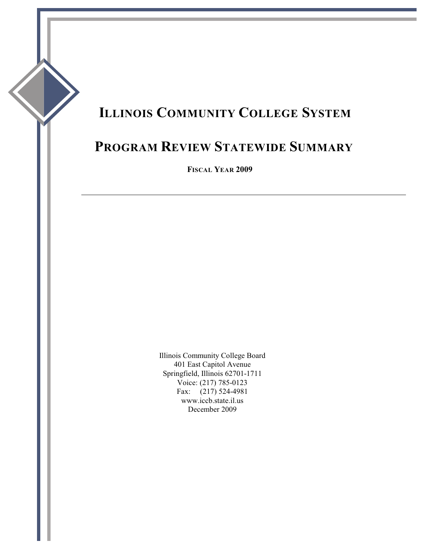# **ILLINOIS COMMUNITY COLLEGE SYSTEM**

# **PROGRAM REVIEW STATEWIDE SUMMARY**

**FISCAL YEAR 2009**

Illinois Community College Board 401 East Capitol Avenue Springfield, Illinois 62701-1711 Voice: (217) 785-0123 Fax: (217) 524-4981 www.iccb.state.il.us December 2009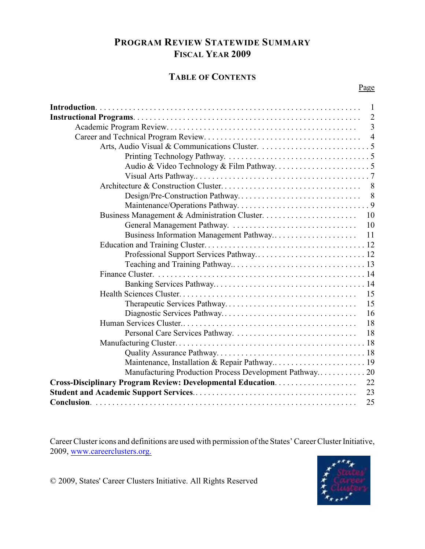## **PROGRAM REVIEW STATEWIDE SUMMARY FISCAL YEAR 2009**

## **TABLE OF CONTENTS**

| $\overline{2}$                                          |
|---------------------------------------------------------|
| $\overline{3}$                                          |
|                                                         |
|                                                         |
|                                                         |
|                                                         |
|                                                         |
|                                                         |
|                                                         |
|                                                         |
|                                                         |
| 10                                                      |
|                                                         |
|                                                         |
|                                                         |
|                                                         |
|                                                         |
|                                                         |
| 15                                                      |
| 15                                                      |
| 16                                                      |
| 18                                                      |
| 18                                                      |
|                                                         |
|                                                         |
|                                                         |
| Manufacturing Production Process Development Pathway 20 |
| 22                                                      |
| 23                                                      |
| 25                                                      |

Career Cluster icons and definitions are used with permission of the States' Career Cluster Initiative, 2009, [www.careerclusters.org.](http://www.careerclusters.org.)



© 2009, States' Career Clusters Initiative. All Rights Reserved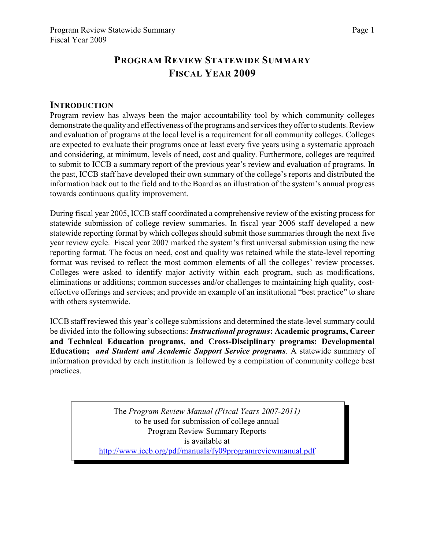# **PROGRAM REVIEW STATEWIDE SUMMARY FISCAL YEAR 2009**

#### **INTRODUCTION**

Program review has always been the major accountability tool by which community colleges demonstrate the quality and effectiveness of the programs and services they offer to students. Review and evaluation of programs at the local level is a requirement for all community colleges. Colleges are expected to evaluate their programs once at least every five years using a systematic approach and considering, at minimum, levels of need, cost and quality. Furthermore, colleges are required to submit to ICCB a summary report of the previous year's review and evaluation of programs. In the past, ICCB staff have developed their own summary of the college's reports and distributed the information back out to the field and to the Board as an illustration of the system's annual progress towards continuous quality improvement.

During fiscal year 2005, ICCB staff coordinated a comprehensive review of the existing process for statewide submission of college review summaries. In fiscal year 2006 staff developed a new statewide reporting format by which colleges should submit those summaries through the next five year review cycle. Fiscal year 2007 marked the system's first universal submission using the new reporting format. The focus on need, cost and quality was retained while the state-level reporting format was revised to reflect the most common elements of all the colleges' review processes. Colleges were asked to identify major activity within each program, such as modifications, eliminations or additions; common successes and/or challenges to maintaining high quality, costeffective offerings and services; and provide an example of an institutional "best practice" to share with others systemwide.

ICCB staff reviewed this year's college submissions and determined the state-level summary could be divided into the following subsections: *Instructional programs***: Academic programs, Career and Technical Education programs, and Cross-Disciplinary programs: Developmental Education;** *and Student and Academic Support Service programs*. A statewide summary of information provided by each institution is followed by a compilation of community college best practices.

> The *Program Review Manual (Fiscal Years 2007-2011)*  to be used for submission of college annual Program Review Summary Reports is available at [http://www.iccb.org/pdf/manuals/fy09programreviewmanual.pdf](http://www.iccb.org/pdf/manuals/fy07programreviewmanual.pdf)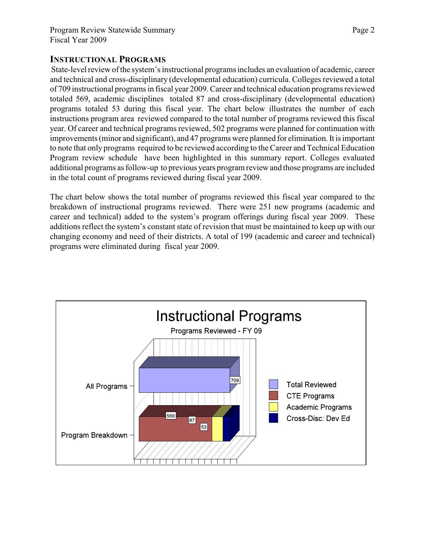### **INSTRUCTIONAL PROGRAMS**

 State-level review of the system's instructional programs includes an evaluation of academic, career and technical and cross-disciplinary (developmental education) curricula. Colleges reviewed a total of 709 instructional programs in fiscal year 2009. Career and technical education programs reviewed totaled 569, academic disciplines totaled 87 and cross-disciplinary (developmental education) programs totaled 53 during this fiscal year. The chart below illustrates the number of each instructions program area reviewed compared to the total number of programs reviewed this fiscal year. Of career and technical programs reviewed, 502 programs were planned for continuation with improvements (minor and significant), and 47 programs were planned for elimination. It is important to note that only programs required to be reviewed according to the Career and Technical Education Program review schedule have been highlighted in this summary report. Colleges evaluated additional programs as follow-up to previous years program review and those programs are included in the total count of programs reviewed during fiscal year 2009.

The chart below shows the total number of programs reviewed this fiscal year compared to the breakdown of instructional programs reviewed. There were 251 new programs (academic and career and technical) added to the system's program offerings during fiscal year 2009. These additions reflect the system's constant state of revision that must be maintained to keep up with our changing economy and need of their districts. A total of 199 (academic and career and technical) programs were eliminated during fiscal year 2009.

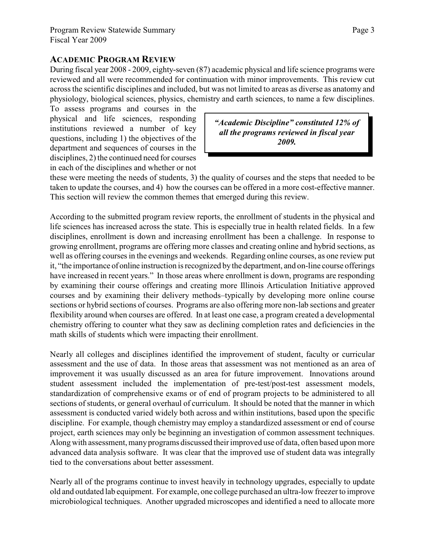#### **ACADEMIC PROGRAM REVIEW**

During fiscal year 2008 - 2009, eighty-seven (87) academic physical and life science programs were reviewed and all were recommended for continuation with minor improvements. This review cut across the scientific disciplines and included, but was not limited to areas as diverse as anatomy and physiology, biological sciences, physics, chemistry and earth sciences, to name a few disciplines.

To assess programs and courses in the physical and life sciences, responding institutions reviewed a number of key questions, including 1) the objectives of the department and sequences of courses in the disciplines, 2) the continued need for courses in each of the disciplines and whether or not

*"Academic Discipline" constituted 12% of all the programs reviewed in fiscal year 2009.*

these were meeting the needs of students, 3) the quality of courses and the steps that needed to be taken to update the courses, and 4) how the courses can be offered in a more cost-effective manner. This section will review the common themes that emerged during this review.

According to the submitted program review reports, the enrollment of students in the physical and life sciences has increased across the state. This is especially true in health related fields. In a few disciplines, enrollment is down and increasing enrollment has been a challenge. In response to growing enrollment, programs are offering more classes and creating online and hybrid sections, as well as offering courses in the evenings and weekends. Regarding online courses, as one review put it, "the importance of online instruction is recognized by the department, and on-line course offerings have increased in recent years." In those areas where enrollment is down, programs are responding by examining their course offerings and creating more Illinois Articulation Initiative approved courses and by examining their delivery methods–typically by developing more online course sections or hybrid sections of courses. Programs are also offering more non-lab sections and greater flexibility around when courses are offered. In at least one case, a program created a developmental chemistry offering to counter what they saw as declining completion rates and deficiencies in the math skills of students which were impacting their enrollment.

Nearly all colleges and disciplines identified the improvement of student, faculty or curricular assessment and the use of data. In those areas that assessment was not mentioned as an area of improvement it was usually discussed as an area for future improvement. Innovations around student assessment included the implementation of pre-test/post-test assessment models, standardization of comprehensive exams or of end of program projects to be administered to all sections of students, or general overhaul of curriculum. It should be noted that the manner in which assessment is conducted varied widely both across and within institutions, based upon the specific discipline. For example, though chemistry may employ a standardized assessment or end of course project, earth sciences may only be beginning an investigation of common assessment techniques. Along with assessment, manyprograms discussed their improved use of data, often based upon more advanced data analysis software. It was clear that the improved use of student data was integrally tied to the conversations about better assessment.

Nearly all of the programs continue to invest heavily in technology upgrades, especially to update old and outdated lab equipment. For example, one college purchased an ultra-low freezer to improve microbiological techniques. Another upgraded microscopes and identified a need to allocate more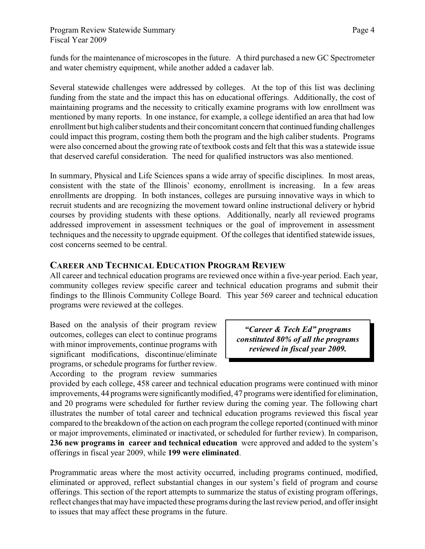funds for the maintenance of microscopes in the future. A third purchased a new GC Spectrometer and water chemistry equipment, while another added a cadaver lab.

Several statewide challenges were addressed by colleges. At the top of this list was declining funding from the state and the impact this has on educational offerings. Additionally, the cost of maintaining programs and the necessity to critically examine programs with low enrollment was mentioned by many reports. In one instance, for example, a college identified an area that had low enrollment but high caliber students and their concomitant concern that continued funding challenges could impact this program, costing them both the program and the high caliber students. Programs were also concerned about the growing rate of textbook costs and felt that this was a statewide issue that deserved careful consideration. The need for qualified instructors was also mentioned.

In summary, Physical and Life Sciences spans a wide array of specific disciplines. In most areas, consistent with the state of the Illinois' economy, enrollment is increasing. In a few areas enrollments are dropping. In both instances, colleges are pursuing innovative ways in which to recruit students and are recognizing the movement toward online instructional delivery or hybrid courses by providing students with these options. Additionally, nearly all reviewed programs addressed improvement in assessment techniques or the goal of improvement in assessment techniques and the necessity to upgrade equipment. Of the colleges that identified statewide issues, cost concerns seemed to be central.

### **CAREER AND TECHNICAL EDUCATION PROGRAM REVIEW**

All career and technical education programs are reviewed once within a five-year period. Each year, community colleges review specific career and technical education programs and submit their findings to the Illinois Community College Board. This year 569 career and technical education programs were reviewed at the colleges.

Based on the analysis of their program review outcomes, colleges can elect to continue programs with minor improvements, continue programs with significant modifications, discontinue/eliminate programs, or schedule programs for further review. According to the program review summaries

*"Career & Tech Ed" programs constituted 80% of all the programs reviewed in fiscal year 2009.*

provided by each college, 458 career and technical education programs were continued with minor improvements, 44 programs were significantly modified, 47 programs were identified for elimination, and 20 programs were scheduled for further review during the coming year. The following chart illustrates the number of total career and technical education programs reviewed this fiscal year compared to the breakdown of the action on each program the college reported (continued with minor or major improvements, eliminated or inactivated, or scheduled for further review). In comparison, **236 new programs in career and technical education** were approved and added to the system's offerings in fiscal year 2009, while **199 were eliminated**.

Programmatic areas where the most activity occurred, including programs continued, modified, eliminated or approved, reflect substantial changes in our system's field of program and course offerings. This section of the report attempts to summarize the status of existing program offerings, reflect changes that mayhave impacted these programs during the last review period, and offer insight to issues that may affect these programs in the future.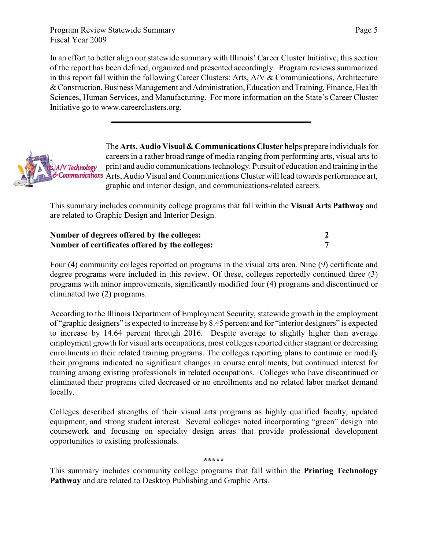Program Review Statewide Summary Fiscal Year 2009

In an effort to better align our statewide summary with Illinois' Career Cluster Initiative, this section of the report has been defined, organized and presented accordingly. Program reviews summarized in this report fall within the following Career Clusters: Arts, A/V & Communications, Architecture & Construction, Business Management and Administration, Education and Training, Finance, Health Sciences, Human Services, and Manufacturing. For more information on the State's Career Cluster Initiative go to www.careerclusters.org.

The **Arts, Audio Visual & Communications Cluster** helps prepare individuals for careers in a rather broad range of media ranging from performing arts, visual arts to print and audio communications technology. Pursuit of education and training in the /V Technology & Communications Arts, Audio Visual and Communications Cluster will lead towards performance art, graphic and interior design, and communications-related careers.

This summary includes community college programs that fall within the **Visual Arts Pathway** and are related to Graphic Design and Interior Design.

| Number of degrees offered by the colleges:      |  |
|-------------------------------------------------|--|
| Number of certificates offered by the colleges: |  |

Four (4) community colleges reported on programs in the visual arts area. Nine (9) certificate and degree programs were included in this review. Of these, colleges reportedly continued three (3) programs with minor improvements, significantly modified four (4) programs and discontinued or eliminated two (2) programs.

According to the Illinois Department of Employment Security, statewide growth in the employment of "graphic designers" is expected to increase by 8.45 percent and for "interior designers" is expected to increase by 14.64 percent through 2016. Despite average to slightly higher than average employment growth for visual arts occupations, most colleges reported either stagnant or decreasing enrollments in their related training programs. The colleges reporting plans to continue or modify their programs indicated no significant changes in course enrollments, but continued interest for training among existing professionals in related occupations. Colleges who have discontinued or eliminated their programs cited decreased or no enrollments and no related labor market demand locally.

Colleges described strengths of their visual arts programs as highly qualified faculty, updated equipment, and strong student interest. Several colleges noted incorporating "green" design into coursework and focusing on specialty design areas that provide professional development opportunities to existing professionals.

**\*\*\*\*\***

This summary includes community college programs that fall within the **Printing Technology Pathway** and are related to Desktop Publishing and Graphic Arts.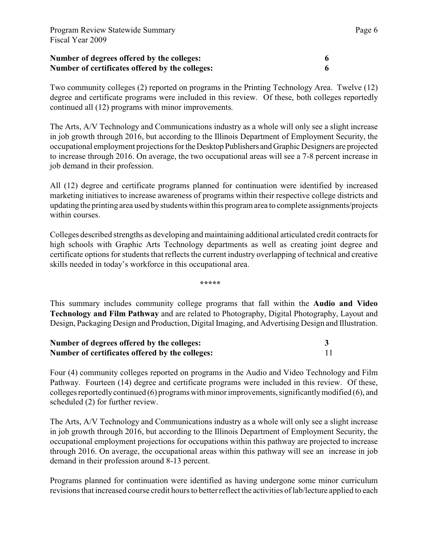Two community colleges (2) reported on programs in the Printing Technology Area. Twelve (12) degree and certificate programs were included in this review. Of these, both colleges reportedly continued all (12) programs with minor improvements.

The Arts, A/V Technology and Communications industry as a whole will only see a slight increase in job growth through 2016, but according to the Illinois Department of Employment Security, the occupational employment projections for the Desktop Publishers and Graphic Designers are projected to increase through 2016. On average, the two occupational areas will see a 7-8 percent increase in job demand in their profession.

All (12) degree and certificate programs planned for continuation were identified by increased marketing initiatives to increase awareness of programs within their respective college districts and updating the printing area used by students within this program area to complete assignments/projects within courses.

Colleges described strengths as developing and maintaining additional articulated credit contracts for high schools with Graphic Arts Technology departments as well as creating joint degree and certificate options for students that reflects the current industry overlapping of technical and creative skills needed in today's workforce in this occupational area.

**\*\*\*\*\***

This summary includes community college programs that fall within the **Audio and Video Technology and Film Pathway** and are related to Photography, Digital Photography, Layout and Design, Packaging Design and Production, Digital Imaging, and Advertising Design and Illustration.

| Number of degrees offered by the colleges:      |  |
|-------------------------------------------------|--|
| Number of certificates offered by the colleges: |  |

Four (4) community colleges reported on programs in the Audio and Video Technology and Film Pathway. Fourteen (14) degree and certificate programs were included in this review. Of these, colleges reportedly continued (6) programs with minor improvements, significantly modified (6), and scheduled (2) for further review.

The Arts, A/V Technology and Communications industry as a whole will only see a slight increase in job growth through 2016, but according to the Illinois Department of Employment Security, the occupational employment projections for occupations within this pathway are projected to increase through 2016. On average, the occupational areas within this pathway will see an increase in job demand in their profession around 8-13 percent.

Programs planned for continuation were identified as having undergone some minor curriculum revisions that increased course credit hours to better reflect the activities of lab/lecture applied to each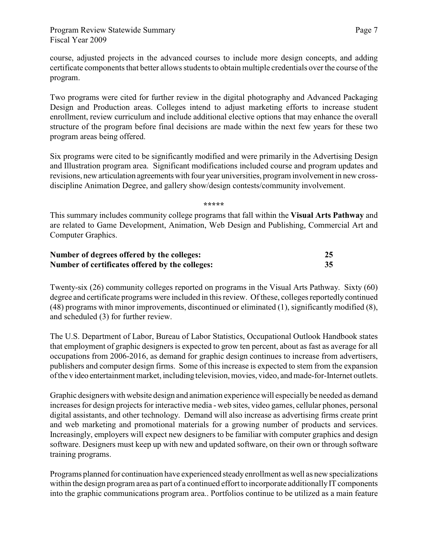course, adjusted projects in the advanced courses to include more design concepts, and adding certificate components that better allows students to obtain multiple credentials over the course of the program.

Two programs were cited for further review in the digital photography and Advanced Packaging Design and Production areas. Colleges intend to adjust marketing efforts to increase student enrollment, review curriculum and include additional elective options that may enhance the overall structure of the program before final decisions are made within the next few years for these two program areas being offered.

Six programs were cited to be significantly modified and were primarily in the Advertising Design and Illustration program area. Significant modifications included course and program updates and revisions, new articulation agreements with four year universities, program involvement in new crossdiscipline Animation Degree, and gallery show/design contests/community involvement.

**\*\*\*\*\***

This summary includes community college programs that fall within the **Visual Arts Pathway** and are related to Game Development, Animation, Web Design and Publishing, Commercial Art and Computer Graphics.

| Number of degrees offered by the colleges:      | 25 |
|-------------------------------------------------|----|
| Number of certificates offered by the colleges: | 35 |

Twenty-six (26) community colleges reported on programs in the Visual Arts Pathway. Sixty (60) degree and certificate programs were included in this review. Of these, colleges reportedly continued (48) programs with minor improvements, discontinued or eliminated (1), significantly modified (8), and scheduled (3) for further review.

The U.S. Department of Labor, Bureau of Labor Statistics, Occupational Outlook Handbook states that employment of graphic designersis expected to grow ten percent, about as fast as average for all occupations from 2006-2016, as demand for graphic design continues to increase from advertisers, publishers and computer design firms. Some of this increase is expected to stem from the expansion of the v ideo entertainment market, including television, movies, video, and made-for-Internet outlets.

Graphic designers with website design and animation experience will especially be needed as demand increases for design projects for interactive media - web sites, video games, cellular phones, personal digital assistants, and other technology. Demand will also increase as advertising firms create print and web marketing and promotional materials for a growing number of products and services. Increasingly, employers will expect new designers to be familiar with computer graphics and design software. Designers must keep up with new and updated software, on their own or through software training programs.

Programs planned for continuation have experienced steady enrollment as well as new specializations within the design program area as part of a continued effort to incorporate additionally IT components into the graphic communications program area.. Portfolios continue to be utilized as a main feature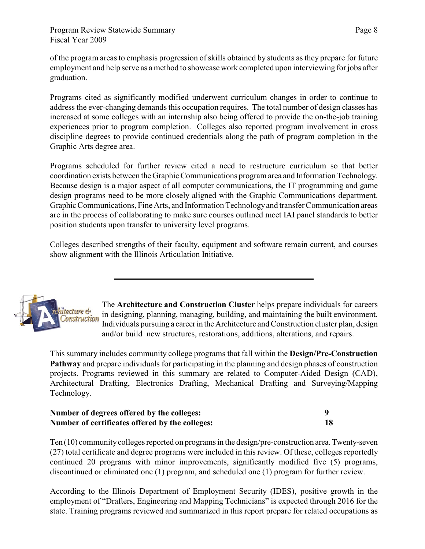of the program areas to emphasis progression of skills obtained by students as they prepare for future employment and help serve as a method to showcase work completed upon interviewing for jobs after graduation.

Programs cited as significantly modified underwent curriculum changes in order to continue to address the ever-changing demands this occupation requires. The total number of design classes has increased at some colleges with an internship also being offered to provide the on-the-job training experiences prior to program completion. Colleges also reported program involvement in cross discipline degrees to provide continued credentials along the path of program completion in the Graphic Arts degree area.

Programs scheduled for further review cited a need to restructure curriculum so that better coordination exists between the Graphic Communications program area and Information Technology. Because design is a major aspect of all computer communications, the IT programming and game design programs need to be more closely aligned with the Graphic Communications department. Graphic Communications, Fine Arts, and Information Technology and transfer Communication areas are in the process of collaborating to make sure courses outlined meet IAI panel standards to better position students upon transfer to university level programs.

Colleges described strengths of their faculty, equipment and software remain current, and courses show alignment with the Illinois Articulation Initiative.



The **Architecture and Construction Cluster** helps prepare individuals for careers in designing, planning, managing, building, and maintaining the built environment. Individuals pursuing a career in the Architecture and Construction cluster plan, design and/or build new structures, restorations, additions, alterations, and repairs.

This summary includes community college programs that fall within the **Design/Pre-Construction Pathway** and prepare individuals for participating in the planning and design phases of construction projects. Programs reviewed in this summary are related to Computer-Aided Design (CAD), Architectural Drafting, Electronics Drafting, Mechanical Drafting and Surveying/Mapping Technology.

| Number of degrees offered by the colleges:      |  |
|-------------------------------------------------|--|
| Number of certificates offered by the colleges: |  |

Ten (10) community colleges reported on programs in the design/pre-construction area. Twenty-seven (27) total certificate and degree programs were included in this review. Of these, colleges reportedly continued 20 programs with minor improvements, significantly modified five (5) programs, discontinued or eliminated one (1) program, and scheduled one (1) program for further review.

According to the Illinois Department of Employment Security (IDES), positive growth in the employment of "Drafters, Engineering and Mapping Technicians" is expected through 2016 for the state. Training programs reviewed and summarized in this report prepare for related occupations as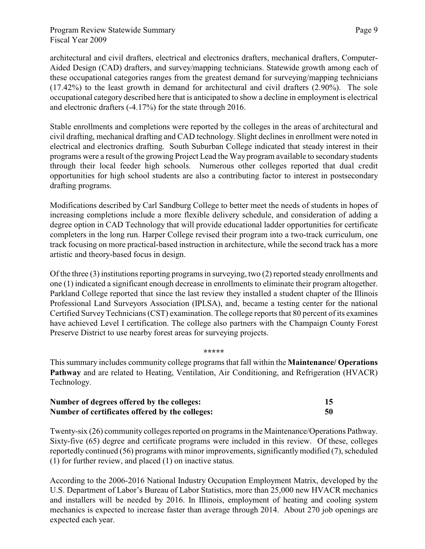Program Review Statewide Summary Fiscal Year 2009

architectural and civil drafters, electrical and electronics drafters, mechanical drafters, Computer-Aided Design (CAD) drafters, and survey/mapping technicians. Statewide growth among each of these occupational categories ranges from the greatest demand for surveying/mapping technicians (17.42%) to the least growth in demand for architectural and civil drafters (2.90%). The sole occupational category described here that is anticipated to show a decline in employment is electrical and electronic drafters (-4.17%) for the state through 2016.

Stable enrollments and completions were reported by the colleges in the areas of architectural and civil drafting, mechanical drafting and CAD technology. Slight declines in enrollment were noted in electrical and electronics drafting. South Suburban College indicated that steady interest in their programs were a result of the growing Project Lead the Way program available to secondary students through their local feeder high schools. Numerous other colleges reported that dual credit opportunities for high school students are also a contributing factor to interest in postsecondary drafting programs.

Modifications described by Carl Sandburg College to better meet the needs of students in hopes of increasing completions include a more flexible delivery schedule, and consideration of adding a degree option in CAD Technology that will provide educational ladder opportunities for certificate completers in the long run. Harper College revised their program into a two-track curriculum, one track focusing on more practical-based instruction in architecture, while the second track has a more artistic and theory-based focus in design.

Of the three (3) institutions reporting programs in surveying, two (2) reported steady enrollments and one (1) indicated a significant enough decrease in enrollments to eliminate their program altogether. Parkland College reported that since the last review they installed a student chapter of the Illinois Professional Land Surveyors Association (IPLSA), and, became a testing center for the national Certified Survey Technicians (CST) examination. The college reports that 80 percent of its examines have achieved Level I certification. The college also partners with the Champaign County Forest Preserve District to use nearby forest areas for surveying projects.

#### **\*\*\*\*\***

This summary includes community college programs that fall within the **Maintenance/ Operations Pathway** and are related to Heating, Ventilation, Air Conditioning, and Refrigeration (HVACR) Technology.

| Number of degrees offered by the colleges:      |    |
|-------------------------------------------------|----|
| Number of certificates offered by the colleges: | 50 |

Twenty-six (26) community colleges reported on programsin the Maintenance/Operations Pathway. Sixty-five (65) degree and certificate programs were included in this review. Of these, colleges reportedly continued (56) programs with minor improvements, significantly modified (7), scheduled (1) for further review, and placed (1) on inactive status.

According to the 2006-2016 National Industry Occupation Employment Matrix, developed by the U.S. Department of Labor's Bureau of Labor Statistics, more than 25,000 new HVACR mechanics and installers will be needed by 2016. In Illinois, employment of heating and cooling system mechanics is expected to increase faster than average through 2014. About 270 job openings are expected each year.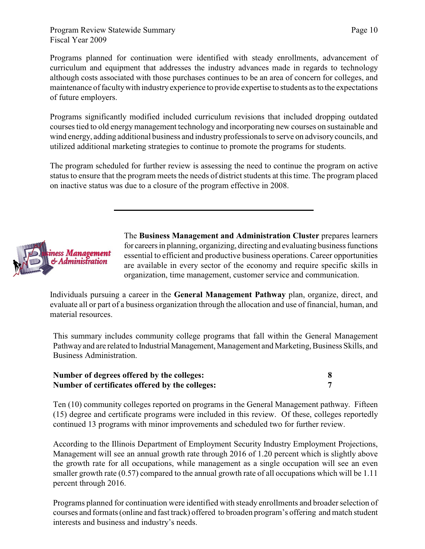Programs planned for continuation were identified with steady enrollments, advancement of curriculum and equipment that addresses the industry advances made in regards to technology although costs associated with those purchases continues to be an area of concern for colleges, and maintenance of faculty with industry experience to provide expertise to students as to the expectations of future employers.

Programs significantly modified included curriculum revisions that included dropping outdated courses tied to old energymanagement technology and incorporating new courses on sustainable and wind energy, adding additional business and industry professionals to serve on advisory councils, and utilized additional marketing strategies to continue to promote the programs for students.

The program scheduled for further review is assessing the need to continue the program on active status to ensure that the program meets the needs of district students at this time. The program placed on inactive status was due to a closure of the program effective in 2008.



The **Business Management and Administration Cluster** prepares learners for careers in planning, organizing, directing and evaluating business functions essential to efficient and productive business operations. Career opportunities are available in every sector of the economy and require specific skills in organization, time management, customer service and communication.

Individuals pursuing a career in the **General Management Pathway** plan, organize, direct, and evaluate all or part of a business organization through the allocation and use of financial, human, and material resources.

This summary includes community college programs that fall within the General Management Pathway and are related to Industrial Management, Management and Marketing, Business Skills, and Business Administration.

| Number of degrees offered by the colleges:      |  |
|-------------------------------------------------|--|
| Number of certificates offered by the colleges: |  |

Ten (10) community colleges reported on programs in the General Management pathway. Fifteen (15) degree and certificate programs were included in this review. Of these, colleges reportedly continued 13 programs with minor improvements and scheduled two for further review.

According to the Illinois Department of Employment Security Industry Employment Projections, Management will see an annual growth rate through 2016 of 1.20 percent which is slightly above the growth rate for all occupations, while management as a single occupation will see an even smaller growth rate (0.57) compared to the annual growth rate of all occupations which will be 1.11 percent through 2016.

Programs planned for continuation were identified with steady enrollments and broader selection of courses and formats (online and fast track) offered to broaden program's offering and match student interests and business and industry's needs.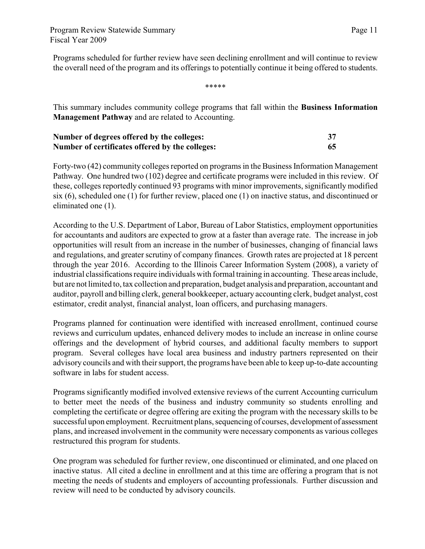Programs scheduled for further review have seen declining enrollment and will continue to review the overall need of the program and its offerings to potentially continue it being offered to students.

\*\*\*\*\*

This summary includes community college programs that fall within the **Business Information Management Pathway** and are related to Accounting.

| Number of degrees offered by the colleges:      |    |
|-------------------------------------------------|----|
| Number of certificates offered by the colleges: | 65 |

Forty-two (42) community colleges reported on programs in the Business Information Management Pathway. One hundred two (102) degree and certificate programs were included in this review. Of these, colleges reportedly continued 93 programs with minor improvements, significantly modified six (6), scheduled one (1) for further review, placed one (1) on inactive status, and discontinued or eliminated one (1).

According to the U.S. Department of Labor, Bureau of Labor Statistics, employment opportunities for accountants and auditors are expected to grow at a faster than average rate. The increase in job opportunities will result from an increase in the number of businesses, changing of financial laws and regulations, and greater scrutiny of company finances. Growth rates are projected at 18 percent through the year 2016. According to the Illinois Career Information System (2008), a variety of industrial classifications require individuals with formal training in accounting. These areas include, but are not limited to, tax collection and preparation, budget analysis and preparation, accountant and auditor, payroll and billing clerk, general bookkeeper, actuary accounting clerk, budget analyst, cost estimator, credit analyst, financial analyst, loan officers, and purchasing managers.

Programs planned for continuation were identified with increased enrollment, continued course reviews and curriculum updates, enhanced delivery modes to include an increase in online course offerings and the development of hybrid courses, and additional faculty members to support program. Several colleges have local area business and industry partners represented on their advisory councils and with theirsupport, the programs have been able to keep up-to-date accounting software in labs for student access.

Programs significantly modified involved extensive reviews of the current Accounting curriculum to better meet the needs of the business and industry community so students enrolling and completing the certificate or degree offering are exiting the program with the necessary skills to be successful upon employment. Recruitment plans, sequencing of courses, development of assessment plans, and increased involvement in the community were necessary components as various colleges restructured this program for students.

One program was scheduled for further review, one discontinued or eliminated, and one placed on inactive status. All cited a decline in enrollment and at this time are offering a program that is not meeting the needs of students and employers of accounting professionals. Further discussion and review will need to be conducted by advisory councils.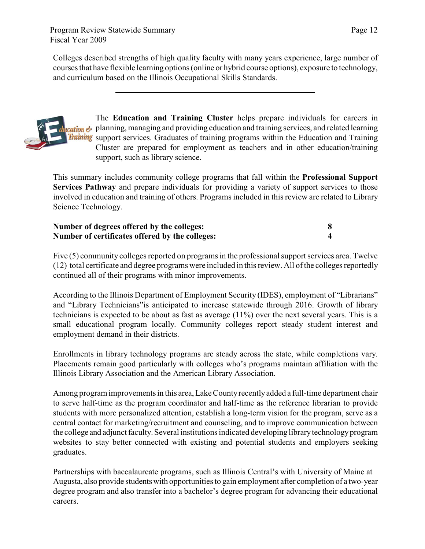Program Review Statewide Summary Fiscal Year 2009

Colleges described strengths of high quality faculty with many years experience, large number of courses that have flexible learning options (online or hybrid course options), exposure to technology, and curriculum based on the Illinois Occupational Skills Standards.



The **Education and Training Cluster** helps prepare individuals for careers in planning, managing and providing education and training services, and related learning support services. Graduates of training programs within the Education and Training Cluster are prepared for employment as teachers and in other education/training support, such as library science.

This summary includes community college programs that fall within the **Professional Support Services Pathway** and prepare individuals for providing a variety of support services to those involved in education and training of others. Programs included in this review are related to Library Science Technology.

| Number of degrees offered by the colleges:      |  |
|-------------------------------------------------|--|
| Number of certificates offered by the colleges: |  |

Five (5) community colleges reported on programs in the professional support services area. Twelve (12) total certificate and degree programs were included in this review. All of the colleges reportedly continued all of their programs with minor improvements.

According to the Illinois Department of Employment Security (IDES), employment of "Librarians" and "Library Technicians"is anticipated to increase statewide through 2016. Growth of library technicians is expected to be about as fast as average (11%) over the next several years. This is a small educational program locally. Community colleges report steady student interest and employment demand in their districts.

Enrollments in library technology programs are steady across the state, while completions vary. Placements remain good particularly with colleges who's programs maintain affiliation with the Illinois Library Association and the American Library Association.

Among program improvements in this area, Lake County recently added a full-time department chair to serve half-time as the program coordinator and half-time as the reference librarian to provide students with more personalized attention, establish a long-term vision for the program, serve as a central contact for marketing/recruitment and counseling, and to improve communication between the college and adjunct faculty. Several institutions indicated developing library technology program websites to stay better connected with existing and potential students and employers seeking graduates.

Partnerships with baccalaureate programs, such as Illinois Central's with University of Maine at Augusta, also provide students with opportunities to gain employment after completion of a two-year degree program and also transfer into a bachelor's degree program for advancing their educational careers.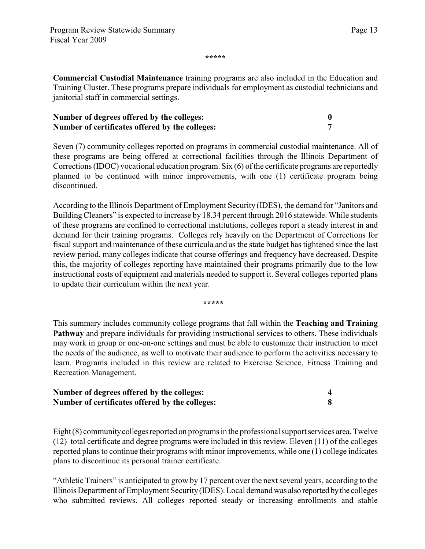Page 13

**\*\*\*\*\***

**Commercial Custodial Maintenance** training programs are also included in the Education and Training Cluster. These programs prepare individuals for employment as custodial technicians and janitorial staff in commercial settings.

| Number of degrees offered by the colleges:      |  |
|-------------------------------------------------|--|
| Number of certificates offered by the colleges: |  |

Seven (7) community colleges reported on programs in commercial custodial maintenance. All of these programs are being offered at correctional facilities through the Illinois Department of Corrections (IDOC) vocational education program. Six (6) of the certificate programs are reportedly planned to be continued with minor improvements, with one (1) certificate program being discontinued.

According to the Illinois Department of Employment Security (IDES), the demand for "Janitors and Building Cleaners" is expected to increase by 18.34 percent through 2016 statewide. While students of these programs are confined to correctional institutions, colleges report a steady interest in and demand for their training programs. Colleges rely heavily on the Department of Corrections for fiscal support and maintenance of these curricula and as the state budget has tightened since the last review period, many colleges indicate that course offerings and frequency have decreased. Despite this, the majority of colleges reporting have maintained their programs primarily due to the low instructional costs of equipment and materials needed to support it. Several colleges reported plans to update their curriculum within the next year.

**\*\*\*\*\***

This summary includes community college programs that fall within the **Teaching and Training Pathway** and prepare individuals for providing instructional services to others. These individuals may work in group or one-on-one settings and must be able to customize their instruction to meet the needs of the audience, as well to motivate their audience to perform the activities necessary to learn. Programs included in this review are related to Exercise Science, Fitness Training and Recreation Management.

| Number of degrees offered by the colleges:      |  |
|-------------------------------------------------|--|
| Number of certificates offered by the colleges: |  |

Eight (8) community colleges reported on programs in the professional support services area. Twelve (12) total certificate and degree programs were included in this review. Eleven (11) of the colleges reported plans to continue their programs with minor improvements, while one (1) college indicates plans to discontinue its personal trainer certificate.

"Athletic Trainers" is anticipated to grow by 17 percent over the next several years, according to the Illinois Department of Employment Security (IDES). Local demand was also reported by the colleges who submitted reviews. All colleges reported steady or increasing enrollments and stable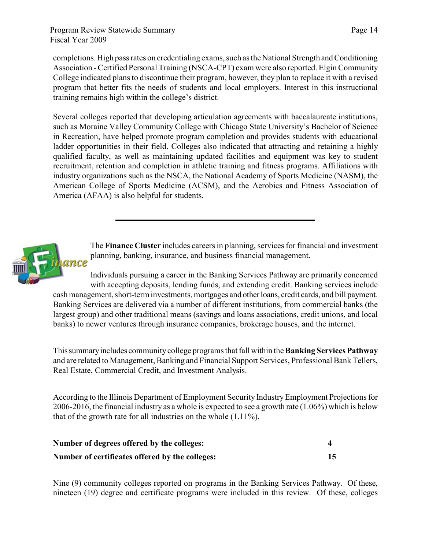completions. High pass rates on credentialing exams, such as the National Strength and Conditioning Association - Certified Personal Training (NSCA-CPT) exam were also reported. Elgin Community College indicated plans to discontinue their program, however, they plan to replace it with a revised program that better fits the needs of students and local employers. Interest in this instructional training remains high within the college's district.

Several colleges reported that developing articulation agreements with baccalaureate institutions, such as Moraine Valley Community College with Chicago State University's Bachelor of Science in Recreation, have helped promote program completion and provides students with educational ladder opportunities in their field. Colleges also indicated that attracting and retaining a highly qualified faculty, as well as maintaining updated facilities and equipment was key to student recruitment, retention and completion in athletic training and fitness programs. Affiliations with industry organizations such as the NSCA, the National Academy of Sports Medicine (NASM), the American College of Sports Medicine (ACSM), and the Aerobics and Fitness Association of America (AFAA) is also helpful for students.



The **Finance Cluster** includes careers in planning, services for financial and investment planning, banking, insurance, and business financial management.

Individuals pursuing a career in the Banking Services Pathway are primarily concerned with accepting deposits, lending funds, and extending credit. Banking services include cash management, short-term investments, mortgages and other loans, credit cards, and bill payment. Banking Services are delivered via a number of different institutions, from commercial banks (the largest group) and other traditional means (savings and loans associations, credit unions, and local banks) to newer ventures through insurance companies, brokerage houses, and the internet.

This summary includes community college programs that fall within the **Banking Services Pathway** and are related to Management, Banking and Financial Support Services, Professional Bank Tellers, Real Estate, Commercial Credit, and Investment Analysis.

According to the Illinois Department of Employment Security Industry Employment Projections for 2006-2016, the financial industry as a whole is expected to see a growth rate (1.06%) which is below that of the growth rate for all industries on the whole (1.11%).

| Number of degrees offered by the colleges:      |  |
|-------------------------------------------------|--|
| Number of certificates offered by the colleges: |  |

Nine (9) community colleges reported on programs in the Banking Services Pathway. Of these, nineteen (19) degree and certificate programs were included in this review. Of these, colleges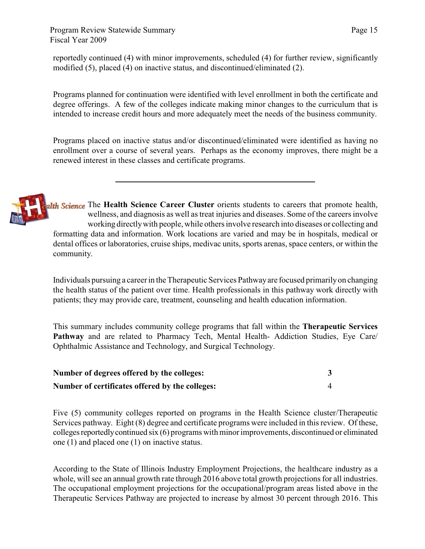Program Review Statewide Summary Fiscal Year 2009

reportedly continued (4) with minor improvements, scheduled (4) for further review, significantly modified (5), placed (4) on inactive status, and discontinued/eliminated (2).

Programs planned for continuation were identified with level enrollment in both the certificate and degree offerings. A few of the colleges indicate making minor changes to the curriculum that is intended to increase credit hours and more adequately meet the needs of the business community.

Programs placed on inactive status and/or discontinued/eliminated were identified as having no enrollment over a course of several years. Perhaps as the economy improves, there might be a renewed interest in these classes and certificate programs.



alth Science The Health Science Career Cluster orients students to careers that promote health, wellness, and diagnosis as well as treat injuries and diseases. Some of the careers involve working directlywith people, while others involve research into diseases or collecting and formatting data and information. Work locations are varied and may be in hospitals, medical or dental offices or laboratories, cruise ships, medivac units, sports arenas, space centers, or within the community.

Individuals pursuing a career in the Therapeutic Services Pathway are focused primarily on changing the health status of the patient over time. Health professionals in this pathway work directly with patients; they may provide care, treatment, counseling and health education information.

This summary includes community college programs that fall within the **Therapeutic Services Pathway** and are related to Pharmacy Tech, Mental Health- Addiction Studies, Eye Care/ Ophthalmic Assistance and Technology, and Surgical Technology.

| Number of degrees offered by the colleges:      |  |
|-------------------------------------------------|--|
| Number of certificates offered by the colleges: |  |

Five (5) community colleges reported on programs in the Health Science cluster/Therapeutic Services pathway. Eight (8) degree and certificate programs were included in this review. Of these, colleges reportedly continued six (6) programs with minor improvements, discontinued or eliminated one (1) and placed one (1) on inactive status.

According to the State of Illinois Industry Employment Projections, the healthcare industry as a whole, will see an annual growth rate through 2016 above total growth projections for all industries. The occupational employment projections for the occupational/program areas listed above in the Therapeutic Services Pathway are projected to increase by almost 30 percent through 2016. This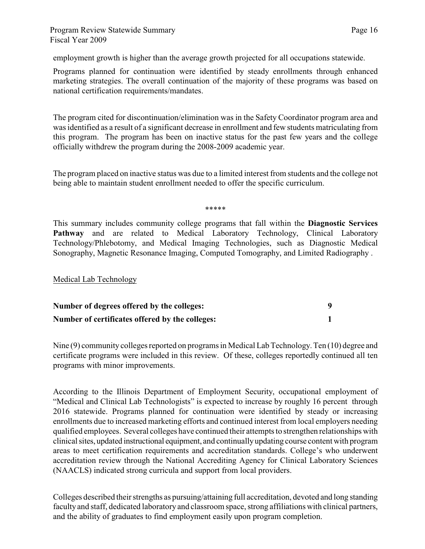employment growth is higher than the average growth projected for all occupations statewide.

Programs planned for continuation were identified by steady enrollments through enhanced marketing strategies. The overall continuation of the majority of these programs was based on national certification requirements/mandates.

The program cited for discontinuation/elimination was in the Safety Coordinator program area and was identified as a result of a significant decrease in enrollment and few students matriculating from this program. The program has been on inactive status for the past few years and the college officially withdrew the program during the 2008-2009 academic year.

The program placed on inactive status was due to a limited interest from students and the college not being able to maintain student enrollment needed to offer the specific curriculum.

\*\*\*\*\*

This summary includes community college programs that fall within the **Diagnostic Services** Pathway and are related to Medical Laboratory Technology, Clinical Laboratory Technology/Phlebotomy, and Medical Imaging Technologies, such as Diagnostic Medical Sonography, Magnetic Resonance Imaging, Computed Tomography, and Limited Radiography .

Medical Lab Technology

| Number of degrees offered by the colleges:      |  |
|-------------------------------------------------|--|
| Number of certificates offered by the colleges: |  |

Nine (9) community colleges reported on programs in Medical Lab Technology. Ten (10) degree and certificate programs were included in this review. Of these, colleges reportedly continued all ten programs with minor improvements.

According to the Illinois Department of Employment Security, occupational employment of "Medical and Clinical Lab Technologists" is expected to increase by roughly 16 percent through 2016 statewide. Programs planned for continuation were identified by steady or increasing enrollments due to increased marketing efforts and continued interest from local employers needing qualified employees. Several colleges have continued their attempts to strengthen relationships with clinical sites, updated instructional equipment, and continually updating course content with program areas to meet certification requirements and accreditation standards. College's who underwent accreditation review through the National Accrediting Agency for Clinical Laboratory Sciences (NAACLS) indicated strong curricula and support from local providers.

Colleges described their strengths as pursuing/attaining full accreditation, devoted and long standing faculty and staff, dedicated laboratory and classroom space, strong affiliations with clinical partners, and the ability of graduates to find employment easily upon program completion.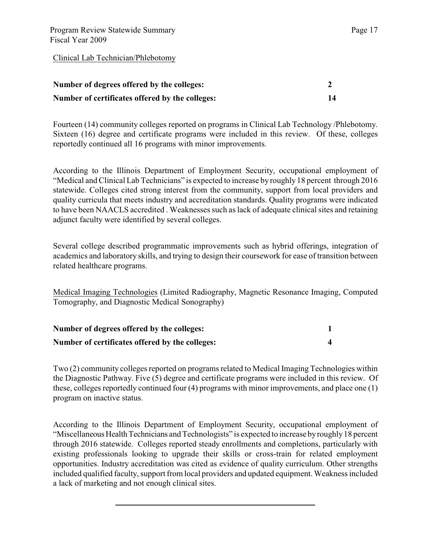| Number of degrees offered by the colleges:      |  |
|-------------------------------------------------|--|
| Number of certificates offered by the colleges: |  |

Fourteen (14) community colleges reported on programs in Clinical Lab Technology /Phlebotomy. Sixteen (16) degree and certificate programs were included in this review. Of these, colleges reportedly continued all 16 programs with minor improvements.

According to the Illinois Department of Employment Security, occupational employment of "Medical and Clinical Lab Technicians" is expected to increase by roughly 18 percent through 2016 statewide. Colleges cited strong interest from the community, support from local providers and quality curricula that meets industry and accreditation standards. Quality programs were indicated to have been NAACLS accredited . Weaknesses such as lack of adequate clinical sites and retaining adjunct faculty were identified by several colleges.

Several college described programmatic improvements such as hybrid offerings, integration of academics and laboratory skills, and trying to design their coursework for ease of transition between related healthcare programs.

Medical Imaging Technologies (Limited Radiography, Magnetic Resonance Imaging, Computed Tomography, and Diagnostic Medical Sonography)

| Number of degrees offered by the colleges:      |  |
|-------------------------------------------------|--|
| Number of certificates offered by the colleges: |  |

Two (2) community colleges reported on programs related to Medical Imaging Technologies within the Diagnostic Pathway. Five (5) degree and certificate programs were included in this review. Of these, colleges reportedly continued four (4) programs with minor improvements, and place one (1) program on inactive status.

According to the Illinois Department of Employment Security, occupational employment of "Miscellaneous Health Technicians and Technologists" is expected to increase by roughly 18 percent through 2016 statewide. Colleges reported steady enrollments and completions, particularly with existing professionals looking to upgrade their skills or cross-train for related employment opportunities. Industry accreditation was cited as evidence of quality curriculum. Other strengths included qualified faculty, support from local providers and updated equipment. Weakness included a lack of marketing and not enough clinical sites.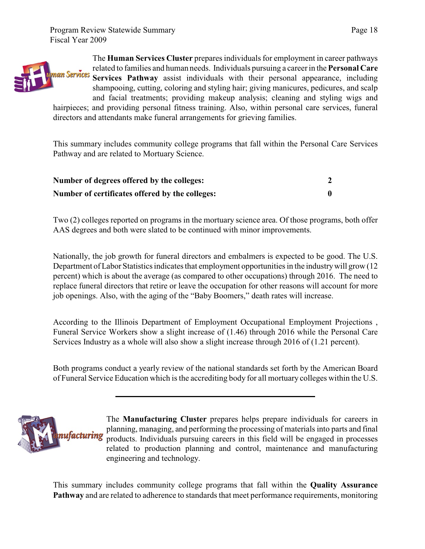

The **Human Services Cluster** prepares individuals for employment in career pathways related to families and human needs. Individuals pursuing a career in the **Personal Care Services Pathway** assist individuals with their personal appearance, including shampooing, cutting, coloring and styling hair; giving manicures, pedicures, and scalp and facial treatments; providing makeup analysis; cleaning and styling wigs and

hairpieces; and providing personal fitness training. Also, within personal care services, funeral directors and attendants make funeral arrangements for grieving families.

This summary includes community college programs that fall within the Personal Care Services Pathway and are related to Mortuary Science.

| Number of degrees offered by the colleges:      |  |
|-------------------------------------------------|--|
| Number of certificates offered by the colleges: |  |

Two (2) colleges reported on programs in the mortuary science area. Of those programs, both offer AAS degrees and both were slated to be continued with minor improvements.

Nationally, the job growth for funeral directors and embalmers is expected to be good. The U.S. Department of Labor Statistics indicates that employment opportunities in the industry will grow (12 percent) which is about the average (as compared to other occupations) through 2016. The need to replace funeral directors that retire or leave the occupation for other reasons will account for more job openings. Also, with the aging of the "Baby Boomers," death rates will increase.

According to the Illinois Department of Employment Occupational Employment Projections , Funeral Service Workers show a slight increase of (1.46) through 2016 while the Personal Care Services Industry as a whole will also show a slight increase through 2016 of (1.21 percent).

Both programs conduct a yearly review of the national standards set forth by the American Board of Funeral Service Education which isthe accrediting body for all mortuary colleges within the U.S.



The **Manufacturing Cluster** prepares helps prepare individuals for careers in planning, managing, and performing the processing of materials into parts and final products. Individuals pursuing careers in this field will be engaged in processes related to production planning and control, maintenance and manufacturing engineering and technology.

This summary includes community college programs that fall within the **Quality Assurance Pathway** and are related to adherence to standards that meet performance requirements, monitoring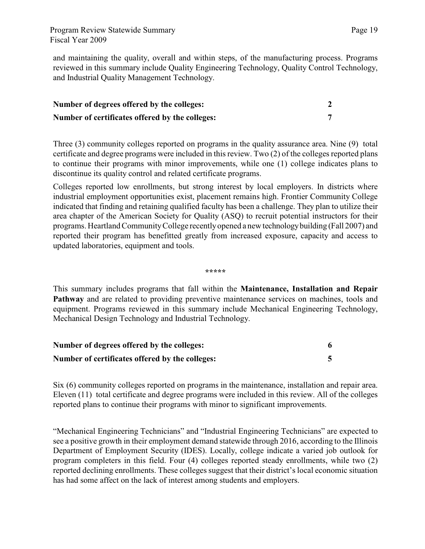and maintaining the quality, overall and within steps, of the manufacturing process. Programs reviewed in this summary include Quality Engineering Technology, Quality Control Technology, and Industrial Quality Management Technology.

| Number of degrees offered by the colleges:      |  |
|-------------------------------------------------|--|
| Number of certificates offered by the colleges: |  |

Three (3) community colleges reported on programs in the quality assurance area. Nine (9) total certificate and degree programs were included in this review. Two (2) of the colleges reported plans to continue their programs with minor improvements, while one (1) college indicates plans to discontinue its quality control and related certificate programs.

Colleges reported low enrollments, but strong interest by local employers. In districts where industrial employment opportunities exist, placement remains high. Frontier Community College indicated that finding and retaining qualified faculty has been a challenge. They plan to utilize their area chapter of the American Society for Quality (ASQ) to recruit potential instructors for their programs. Heartland Community College recently opened a new technology building (Fall 2007) and reported their program has benefitted greatly from increased exposure, capacity and access to updated laboratories, equipment and tools.

**\*\*\*\*\***

This summary includes programs that fall within the **Maintenance, Installation and Repair Pathway** and are related to providing preventive maintenance services on machines, tools and equipment. Programs reviewed in this summary include Mechanical Engineering Technology, Mechanical Design Technology and Industrial Technology.

| Number of degrees offered by the colleges:      |  |
|-------------------------------------------------|--|
| Number of certificates offered by the colleges: |  |

Six (6) community colleges reported on programs in the maintenance, installation and repair area. Eleven (11) total certificate and degree programs were included in this review. All of the colleges reported plans to continue their programs with minor to significant improvements.

"Mechanical Engineering Technicians" and "Industrial Engineering Technicians" are expected to see a positive growth in their employment demand statewide through 2016, according to the Illinois Department of Employment Security (IDES). Locally, college indicate a varied job outlook for program completers in this field. Four (4) colleges reported steady enrollments, while two (2) reported declining enrollments. These colleges suggest that their district's local economic situation has had some affect on the lack of interest among students and employers.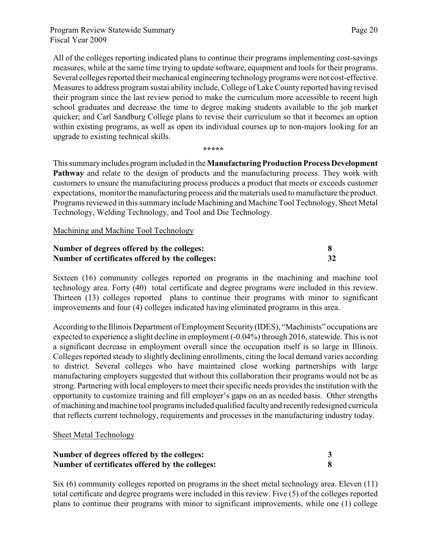All of the colleges reporting indicated plans to continue their programs implementing cost-savings measures, while at the same time trying to update software, equipment and tools for their programs. Several colleges reported their mechanical engineering technology programs were not cost-effective. Measures to address program sustai ability include, College of Lake County reported having revised their program since the last review period to make the curriculum more accessible to recent high school graduates and decrease the time to degree making students available to the job market quicker; and Carl Sandburg College plans to revise their curriculum so that it becomes an option within existing programs, as well as open its individual courses up to non-majors looking for an upgrade to existing technical skills.

**\*\*\*\*\***

This summary includes program included in the**Manufacturing Production Process Development Pathway** and relate to the design of products and the manufacturing process. They work with customers to ensure the manufacturing process produces a product that meets or exceeds customer expectations, monitor the manufacturing process and the materials used to manufacture the product. Programs reviewed in this summary include Machining and Machine Tool Technology, Sheet Metal Technology, Welding Technology, and Tool and Die Technology.

Machining and Machine Tool Technology

| Number of degrees offered by the colleges:      |    |
|-------------------------------------------------|----|
| Number of certificates offered by the colleges: | 32 |

Sixteen (16) community colleges reported on programs in the machining and machine tool technology area. Forty (40) total certificate and degree programs were included in this review. Thirteen (13) colleges reported plans to continue their programs with minor to significant improvements and four (4) colleges indicated having eliminated programs in this area.

According to the Illinois Department of Employment Security (IDES), "Machinists" occupations are expected to experience a slight decline in employment (-0.04%) through 2016, statewide. This is not a significant decrease in employment overall since the occupation itself is so large in Illinois. Colleges reported steady to slightly declining enrollments, citing the local demand varies according to district. Several colleges who have maintained close working partnerships with large manufacturing employers suggested that without this collaboration their programs would not be as strong. Partnering with local employers to meet their specific needs provides the institution with the opportunity to customize training and fill employer's gaps on an as needed basis. Other strengths of machining and machine tool programs included qualified faculty and recently redesigned curricula that reflects current technology, requirements and processes in the manufacturing industry today.

#### Sheet Metal Technology

| Number of degrees offered by the colleges:      |  |
|-------------------------------------------------|--|
| Number of certificates offered by the colleges: |  |

Six (6) community colleges reported on programs in the sheet metal technology area. Eleven (11) total certificate and degree programs were included in this review. Five (5) of the colleges reported plans to continue their programs with minor to significant improvements, while one (1) college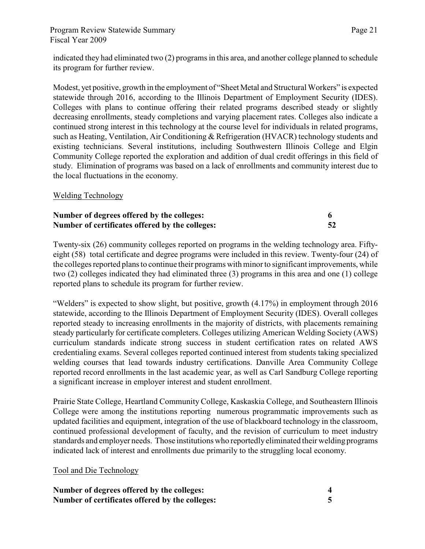#### Program Review Statewide Summary Fiscal Year 2009

indicated they had eliminated two (2) programs in this area, and another college planned to schedule its program for further review.

Modest, yet positive, growth in the employment of "Sheet Metal and Structural Workers" is expected statewide through 2016, according to the Illinois Department of Employment Security (IDES). Colleges with plans to continue offering their related programs described steady or slightly decreasing enrollments, steady completions and varying placement rates. Colleges also indicate a continued strong interest in this technology at the course level for individuals in related programs, such as Heating, Ventilation, Air Conditioning & Refrigeration (HVACR) technology students and existing technicians. Several institutions, including Southwestern Illinois College and Elgin Community College reported the exploration and addition of dual credit offerings in this field of study. Elimination of programs was based on a lack of enrollments and community interest due to the local fluctuations in the economy.

#### Welding Technology

| Number of degrees offered by the colleges:      |    |
|-------------------------------------------------|----|
| Number of certificates offered by the colleges: | 52 |

Twenty-six (26) community colleges reported on programs in the welding technology area. Fiftyeight (58) total certificate and degree programs were included in this review. Twenty-four (24) of the colleges reported plans to continue their programs with minor to significant improvements, while two (2) colleges indicated they had eliminated three (3) programs in this area and one (1) college reported plans to schedule its program for further review.

"Welders" is expected to show slight, but positive, growth (4.17%) in employment through 2016 statewide, according to the Illinois Department of Employment Security (IDES). Overall colleges reported steady to increasing enrollments in the majority of districts, with placements remaining steady particularly for certificate completers. Colleges utilizing American Welding Society (AWS) curriculum standards indicate strong success in student certification rates on related AWS credentialing exams. Several colleges reported continued interest from students taking specialized welding courses that lead towards industry certifications. Danville Area Community College reported record enrollments in the last academic year, as well as Carl Sandburg College reporting a significant increase in employer interest and student enrollment.

Prairie State College, Heartland Community College, Kaskaskia College, and Southeastern Illinois College were among the institutions reporting numerous programmatic improvements such as updated facilities and equipment, integration of the use of blackboard technology in the classroom, continued professional development of faculty, and the revision of curriculum to meet industry standards and employer needs. Those institutions who reportedly eliminated their welding programs indicated lack of interest and enrollments due primarily to the struggling local economy.

#### Tool and Die Technology

| Number of degrees offered by the colleges:      |  |
|-------------------------------------------------|--|
| Number of certificates offered by the colleges: |  |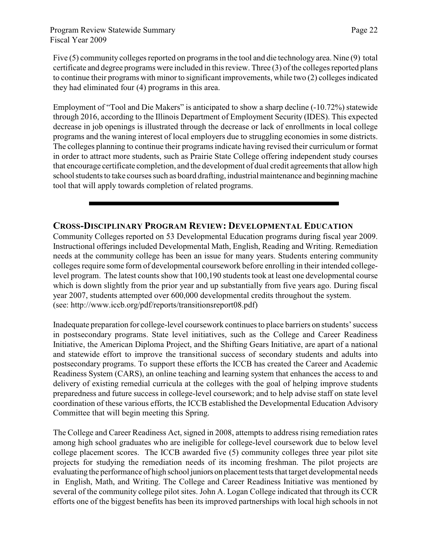Page 22

Five (5) community colleges reported on programs in the tool and die technology area. Nine (9) total certificate and degree programs were included in this review. Three (3) of the colleges reported plans to continue their programs with minor to significant improvements, while two (2) colleges indicated they had eliminated four (4) programs in this area.

Employment of "Tool and Die Makers" is anticipated to show a sharp decline (-10.72%) statewide through 2016, according to the Illinois Department of Employment Security (IDES). This expected decrease in job openings is illustrated through the decrease or lack of enrollments in local college programs and the waning interest of local employers due to struggling economies in some districts. The colleges planning to continue their programs indicate having revised their curriculum or format in order to attract more students, such as Prairie State College offering independent study courses that encourage certificate completion, and the development of dual credit agreements that allow high school students to take courses such as board drafting, industrial maintenance and beginning machine tool that will apply towards completion of related programs.

### **CROSS-DISCIPLINARY PROGRAM REVIEW: DEVELOPMENTAL EDUCATION**

Community Colleges reported on 53 Developmental Education programs during fiscal year 2009. Instructional offerings included Developmental Math, English, Reading and Writing. Remediation needs at the community college has been an issue for many years. Students entering community colleges require some form of developmental coursework before enrolling in their intended collegelevel program. The latest counts show that 100,190 students took at least one developmental course which is down slightly from the prior year and up substantially from five years ago. During fiscal year 2007, students attempted over 600,000 developmental credits throughout the system. (see: http://www.iccb.org/pdf/reports/transitionsreport08.pdf)

Inadequate preparation for college-level coursework continues to place barriers on students' success in postsecondary programs. State level initiatives, such as the College and Career Readiness Initiative, the American Diploma Project, and the Shifting Gears Initiative, are apart of a national and statewide effort to improve the transitional success of secondary students and adults into postsecondary programs. To support these efforts the ICCB has created the Career and Academic Readiness System (CARS), an online teaching and learning system that enhances the access to and delivery of existing remedial curricula at the colleges with the goal of helping improve students preparedness and future success in college-level coursework; and to help advise staff on state level coordination of these various efforts, the ICCB established the Developmental Education Advisory Committee that will begin meeting this Spring.

The College and Career Readiness Act, signed in 2008, attempts to address rising remediation rates among high school graduates who are ineligible for college-level coursework due to below level college placement scores. The ICCB awarded five (5) community colleges three year pilot site projects for studying the remediation needs of its incoming freshman. The pilot projects are evaluating the performance of high school juniors on placement tests that target developmental needs in English, Math, and Writing. The College and Career Readiness Initiative was mentioned by several of the community college pilot sites. John A. Logan College indicated that through its CCR efforts one of the biggest benefits has been its improved partnerships with local high schools in not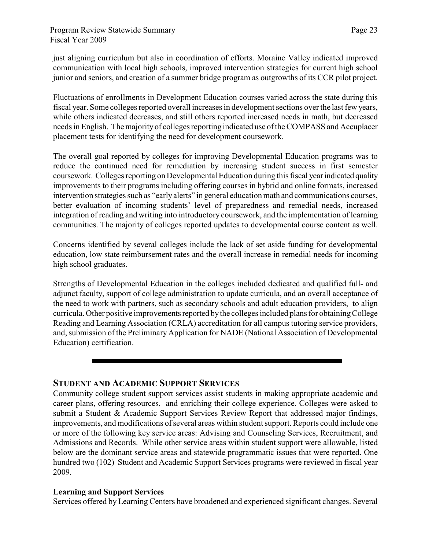just aligning curriculum but also in coordination of efforts. Moraine Valley indicated improved communication with local high schools, improved intervention strategies for current high school junior and seniors, and creation of a summer bridge program as outgrowths of its CCR pilot project.

Fluctuations of enrollments in Development Education courses varied across the state during this fiscal year. Some colleges reported overall increases in development sections over the last few years, while others indicated decreases, and still others reported increased needs in math, but decreased needs in English. Themajorityof colleges reporting indicated use of the COMPASS and Accuplacer placement tests for identifying the need for development coursework.

The overall goal reported by colleges for improving Developmental Education programs was to reduce the continued need for remediation by increasing student success in first semester coursework. Colleges reporting on Developmental Education during this fiscal year indicated quality improvements to their programs including offering courses in hybrid and online formats, increased intervention strategies such as "early alerts" in general education math and communications courses, better evaluation of incoming students' level of preparedness and remedial needs, increased integration of reading and writing into introductory coursework, and the implementation of learning communities. The majority of colleges reported updates to developmental course content as well.

Concerns identified by several colleges include the lack of set aside funding for developmental education, low state reimbursement rates and the overall increase in remedial needs for incoming high school graduates.

Strengths of Developmental Education in the colleges included dedicated and qualified full- and adjunct faculty, support of college administration to update curricula, and an overall acceptance of the need to work with partners, such as secondary schools and adult education providers, to align curricula. Other positive improvements reported by the colleges included plans for obtaining College Reading and Learning Association (CRLA) accreditation for all campus tutoring service providers, and, submission of the Preliminary Application for NADE (National Association of Developmental Education) certification.

#### **STUDENT AND ACADEMIC SUPPORT SERVICES**

Community college student support services assist students in making appropriate academic and career plans, offering resources, and enriching their college experience. Colleges were asked to submit a Student & Academic Support Services Review Report that addressed major findings, improvements, and modifications of several areas within student support. Reports could include one or more of the following key service areas: Advising and Counseling Services, Recruitment, and Admissions and Records. While other service areas within student support were allowable, listed below are the dominant service areas and statewide programmatic issues that were reported. One hundred two (102) Student and Academic Support Services programs were reviewed in fiscal year 2009.

#### **Learning and Support Services**

Services offered by Learning Centers have broadened and experienced significant changes. Several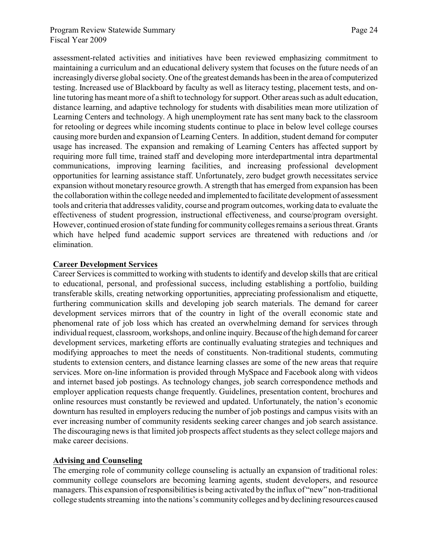assessment-related activities and initiatives have been reviewed emphasizing commitment to maintaining a curriculum and an educational delivery system that focuses on the future needs of an increasingly diverse global society. One of the greatest demands has been in the area of computerized testing. Increased use of Blackboard by faculty as well as literacy testing, placement tests, and online tutoring has meant more of a shift to technology for support. Other areas such as adult education, distance learning, and adaptive technology for students with disabilities mean more utilization of Learning Centers and technology. A high unemployment rate has sent many back to the classroom for retooling or degrees while incoming students continue to place in below level college courses causing more burden and expansion of Learning Centers. In addition, student demand for computer usage has increased. The expansion and remaking of Learning Centers has affected support by requiring more full time, trained staff and developing more interdepartmental intra departmental communications, improving learning facilities, and increasing professional development opportunities for learning assistance staff. Unfortunately, zero budget growth necessitates service expansion without monetary resource growth. A strength that has emerged from expansion has been the collaboration within the college needed and implemented to facilitate development of assessment tools and criteria that addresses validity, course and program outcomes, working data to evaluate the effectiveness of student progression, instructional effectiveness, and course/program oversight. However, continued erosion of state funding for community colleges remains a serious threat. Grants which have helped fund academic support services are threatened with reductions and /or elimination.

#### **Career Development Services**

Career Services is committed to working with students to identify and develop skills that are critical to educational, personal, and professional success, including establishing a portfolio, building transferable skills, creating networking opportunities, appreciating professionalism and etiquette, furthering communication skills and developing job search materials. The demand for career development services mirrors that of the country in light of the overall economic state and phenomenal rate of job loss which has created an overwhelming demand for services through individual request, classroom, workshops, and online inquiry. Because of the high demand for career development services, marketing efforts are continually evaluating strategies and techniques and modifying approaches to meet the needs of constituents. Non-traditional students, commuting students to extension centers, and distance learning classes are some of the new areas that require services. More on-line information is provided through MySpace and Facebook along with videos and internet based job postings. As technology changes, job search correspondence methods and employer application requests change frequently. Guidelines, presentation content, brochures and online resources must constantly be reviewed and updated. Unfortunately, the nation's economic downturn has resulted in employers reducing the number of job postings and campus visits with an ever increasing number of community residents seeking career changes and job search assistance. The discouraging news is that limited job prospects affect students as they select college majors and make career decisions.

#### **Advising and Counseling**

The emerging role of community college counseling is actually an expansion of traditional roles: community college counselors are becoming learning agents, student developers, and resource managers. This expansion of responsibilities is being activated by the influx of "new" non-traditional college students streaming into the nations's community colleges and by declining resources caused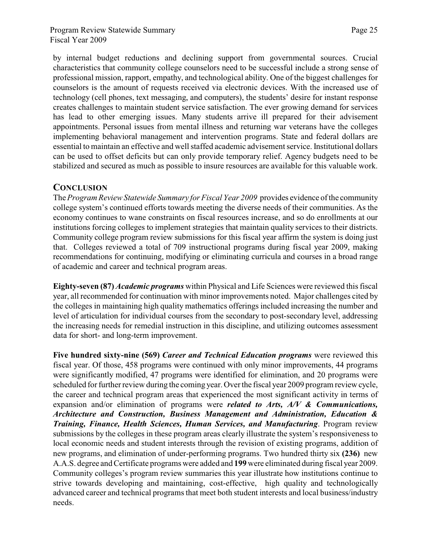by internal budget reductions and declining support from governmental sources. Crucial characteristics that community college counselors need to be successful include a strong sense of professional mission, rapport, empathy, and technological ability. One of the biggest challenges for counselors is the amount of requests received via electronic devices. With the increased use of technology (cell phones, text messaging, and computers), the students' desire for instant response creates challenges to maintain student service satisfaction. The ever growing demand for services has lead to other emerging issues. Many students arrive ill prepared for their advisement appointments. Personal issues from mental illness and returning war veterans have the colleges implementing behavioral management and intervention programs. State and federal dollars are essential to maintain an effective and well staffed academic advisement service. Institutional dollars can be used to offset deficits but can only provide temporary relief. Agency budgets need to be stabilized and secured as much as possible to insure resources are available for this valuable work.

### **CONCLUSION**

The *Program Review Statewide Summary for Fiscal Year 2009* provides evidence of the community college system's continued efforts towards meeting the diverse needs of their communities. As the economy continues to wane constraints on fiscal resources increase, and so do enrollments at our institutions forcing colleges to implement strategies that maintain quality services to their districts. Community college program review submissions for this fiscal year affirm the system is doing just that. Colleges reviewed a total of 709 instructional programs during fiscal year 2009, making recommendations for continuing, modifying or eliminating curricula and courses in a broad range of academic and career and technical program areas.

**Eighty-seven (87)** *Academic programs* within Physical and Life Sciences were reviewed this fiscal year, all recommended for continuation with minor improvements noted. Major challenges cited by the colleges in maintaining high quality mathematics offerings included increasing the number and level of articulation for individual courses from the secondary to post-secondary level, addressing the increasing needs for remedial instruction in this discipline, and utilizing outcomes assessment data for short- and long-term improvement.

**Five hundred sixty-nine (569)** *Career and Technical Education programs* were reviewed this fiscal year. Of those, 458 programs were continued with only minor improvements, 44 programs were significantly modified, 47 programs were identified for elimination, and 20 programs were scheduled for further review during the coming year. Over the fiscal year 2009 program review cycle, the career and technical program areas that experienced the most significant activity in terms of expansion and/or elimination of programs were *related to Arts, A/V & Communications, Architecture and Construction, Business Management and Administration, Education & Training, Finance, Health Sciences, Human Services, and Manufacturing*. Program review submissions by the colleges in these program areas clearly illustrate the system's responsiveness to local economic needs and student interests through the revision of existing programs, addition of new programs, and elimination of under-performing programs. Two hundred thirty six **(236)** new A.A.S. degree and Certificate programs were added and **199** were eliminated during fiscal year 2009. Community colleges's program review summaries this year illustrate how institutions continue to strive towards developing and maintaining, cost-effective, high quality and technologically advanced career and technical programs that meet both student interests and local business/industry needs.